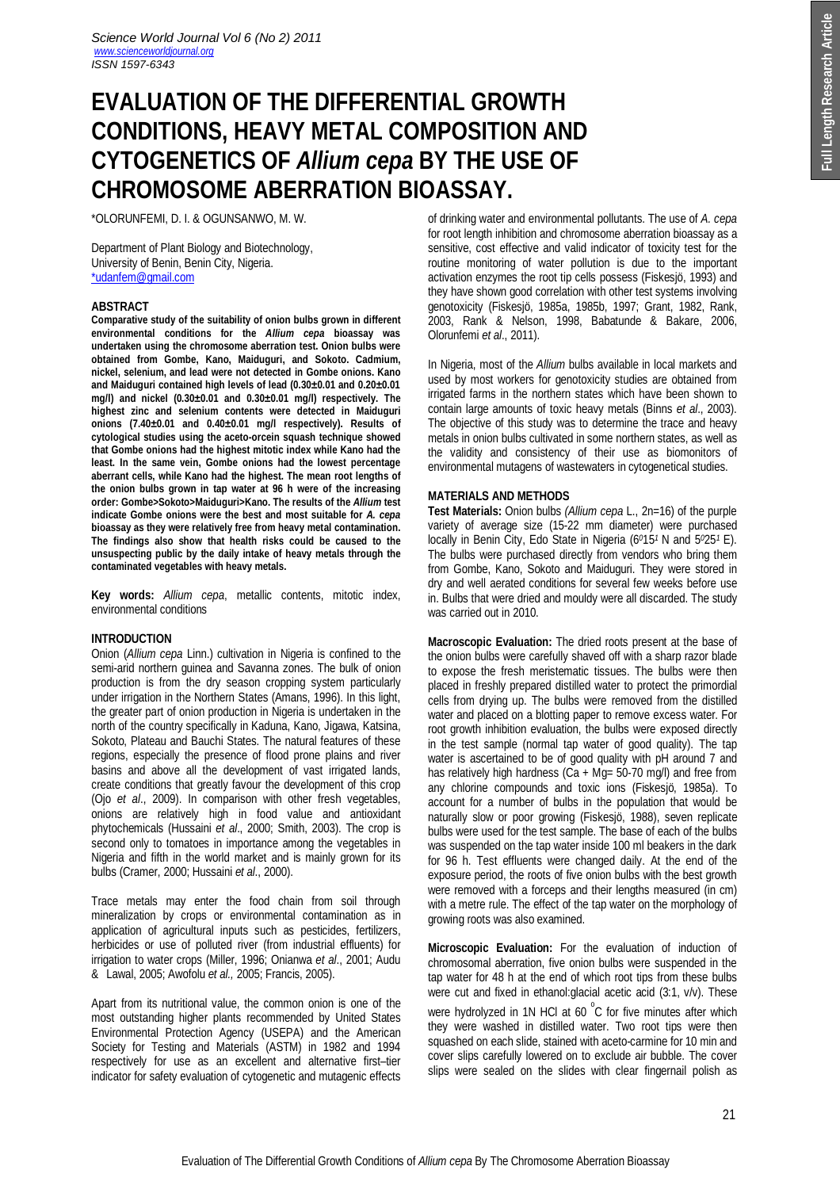# **EVALUATION OF THE DIFFERENTIAL GROWTH CONDITIONS, HEAVY METAL COMPOSITION AND CYTOGENETICS OF** *Allium cepa* **BY THE USE OF CHROMOSOME ABERRATION BIOASSAY.**

\*OLORUNFEMI, D. I. & OGUNSANWO, M. W.

Department of Plant Biology and Biotechnology, University of Benin, Benin City, Nigeria. \*udanfem@gmail.com

## **ABSTRACT**

**Comparative study of the suitability of onion bulbs grown in different environmental conditions for the** *Allium cepa* **bioassay was undertaken using the chromosome aberration test. Onion bulbs were obtained from Gombe, Kano, Maiduguri, and Sokoto. Cadmium, nickel, selenium, and lead were not detected in Gombe onions. Kano and Maiduguri contained high levels of lead (0.30±0.01 and 0.20±0.01 mg/l) and nickel (0.30±0.01 and 0.30±0.01 mg/l) respectively. The highest zinc and selenium contents were detected in Maiduguri onions (7.40±0.01 and 0.40±0.01 mg/l respectively). Results of cytological studies using the aceto-orcein squash technique showed that Gombe onions had the highest mitotic index while Kano had the least. In the same vein, Gombe onions had the lowest percentage aberrant cells, while Kano had the highest. The mean root lengths of the onion bulbs grown in tap water at 96 h were of the increasing order: Gombe>Sokoto>Maiduguri>Kano. The results of the** *Allium* **test indicate Gombe onions were the best and most suitable for** *A. cepa* **bioassay as they were relatively free from heavy metal contamination. The findings also show that health risks could be caused to the unsuspecting public by the daily intake of heavy metals through the contaminated vegetables with heavy metals.**

**Key words:** *Allium cepa*, metallic contents, mitotic index, environmental conditions

# **INTRODUCTION**

Onion (*Allium cepa* Linn.) cultivation in Nigeria is confined to the semi-arid northern guinea and Savanna zones. The bulk of onion production is from the dry season cropping system particularly under irrigation in the Northern States (Amans, 1996). In this light, the greater part of onion production in Nigeria is undertaken in the north of the country specifically in Kaduna, Kano, Jigawa, Katsina, Sokoto, Plateau and Bauchi States. The natural features of these regions, especially the presence of flood prone plains and river basins and above all the development of vast irrigated lands, create conditions that greatly favour the development of this crop (Ojo *et al*., 2009). In comparison with other fresh vegetables, onions are relatively high in food value and antioxidant phytochemicals (Hussaini *et al*., 2000; Smith, 2003). The crop is second only to tomatoes in importance among the vegetables in Nigeria and fifth in the world market and is mainly grown for its bulbs (Cramer, 2000; Hussaini *et al*., 2000).

Trace metals may enter the food chain from soil through mineralization by crops or environmental contamination as in application of agricultural inputs such as pesticides, fertilizers, herbicides or use of polluted river (from industrial effluents) for irrigation to water crops (Miller, 1996; Onianwa *et al*., 2001; Audu & Lawal, 2005; Awofolu *et al.,* 2005; Francis, 2005).

Apart from its nutritional value, the common onion is one of the most outstanding higher plants recommended by United States Environmental Protection Agency (USEPA) and the American Society for Testing and Materials (ASTM) in 1982 and 1994 respectively for use as an excellent and alternative first–tier indicator for safety evaluation of cytogenetic and mutagenic effects of drinking water and environmental pollutants. The use of *A. cepa* for root length inhibition and chromosome aberration bioassay as a sensitive, cost effective and valid indicator of toxicity test for the routine monitoring of water pollution is due to the important activation enzymes the root tip cells possess (Fiskesjö, 1993) and they have shown good correlation with other test systems involving genotoxicity (Fiskesjö, 1985a, 1985b, 1997; Grant, 1982, Rank, 2003, Rank & Nelson, 1998, Babatunde & Bakare, 2006, Olorunfemi *et al*., 2011).

In Nigeria, most of the *Allium* bulbs available in local markets and used by most workers for genotoxicity studies are obtained from irrigated farms in the northern states which have been shown to contain large amounts of toxic heavy metals (Binns *et al*., 2003). The objective of this study was to determine the trace and heavy metals in onion bulbs cultivated in some northern states, as well as the validity and consistency of their use as biomonitors of environmental mutagens of wastewaters in cytogenetical studies.

### **MATERIALS AND METHODS**

**Test Materials:** Onion bulbs *(Allium cepa* L., 2n=16) of the purple variety of average size (15-22 mm diameter) were purchased locally in Benin City, Edo State in Nigeria (6*0*15*<sup>1</sup>* N and 5*0*25*<sup>1</sup>* E). The bulbs were purchased directly from vendors who bring them from Gombe, Kano, Sokoto and Maiduguri. They were stored in dry and well aerated conditions for several few weeks before use in. Bulbs that were dried and mouldy were all discarded. The study was carried out in 2010.

**Macroscopic Evaluation:** The dried roots present at the base of the onion bulbs were carefully shaved off with a sharp razor blade to expose the fresh meristematic tissues. The bulbs were then placed in freshly prepared distilled water to protect the primordial cells from drying up. The bulbs were removed from the distilled water and placed on a blotting paper to remove excess water. For root growth inhibition evaluation, the bulbs were exposed directly in the test sample (normal tap water of good quality). The tap water is ascertained to be of good quality with pH around 7 and has relatively high hardness ( $Ca + Mq = 50-70$  mg/l) and free from any chlorine compounds and toxic ions (Fiskesjö, 1985a). To account for a number of bulbs in the population that would be naturally slow or poor growing (Fiskesjö, 1988), seven replicate bulbs were used for the test sample. The base of each of the bulbs was suspended on the tap water inside 100 ml beakers in the dark for 96 h. Test effluents were changed daily. At the end of the exposure period, the roots of five onion bulbs with the best growth were removed with a forceps and their lengths measured (in cm) with a metre rule. The effect of the tap water on the morphology of growing roots was also examined.

**Microscopic Evaluation:** For the evaluation of induction of chromosomal aberration, five onion bulbs were suspended in the tap water for 48 h at the end of which root tips from these bulbs were cut and fixed in ethanol:glacial acetic acid (3:1, v/v). These were hydrolyzed in 1N HCl at 60  $^{\circ}$ C for five minutes after which they were washed in distilled water. Two root tips were then squashed on each slide, stained with aceto-carmine for 10 min and cover slips carefully lowered on to exclude air bubble. The cover slips were sealed on the slides with clear fingernail polish as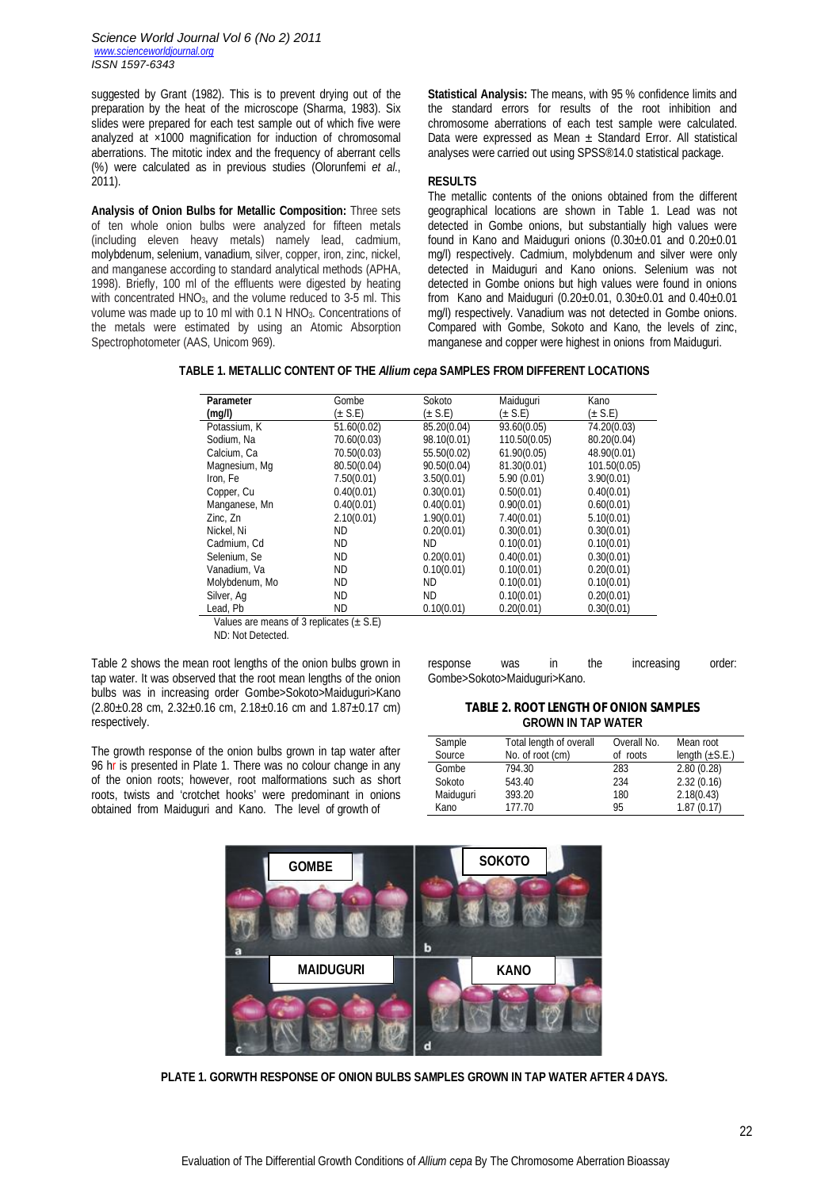*Science World Journal Vol 6 (No 2) 2011 www.scienceworldjournal.org ISSN 1597-6343*

suggested by Grant (1982). This is to prevent drying out of the preparation by the heat of the microscope (Sharma, 1983). Six slides were prepared for each test sample out of which five were analyzed at ×1000 magnification for induction of chromosomal aberrations. The mitotic index and the frequency of aberrant cells (%) were calculated as in previous studies (Olorunfemi *et al*., 2011).

**Analysis of Onion Bulbs for Metallic Composition:** Three sets of ten whole onion bulbs were analyzed for fifteen metals (including eleven heavy metals) namely lead, cadmium, molybdenum, selenium, vanadium, silver, copper, iron, zinc, nickel, and manganese according to standard analytical methods (APHA, 1998). Briefly, 100 ml of the effluents were digested by heating with concentrated HNO3, and the volume reduced to 3-5 ml. This volume was made up to 10 ml with  $0.1$  N HNO<sub>3</sub>. Concentrations of the metals were estimated by using an Atomic Absorption Spectrophotometer (AAS, Unicom 969).

**Statistical Analysis:** The means, with 95 % confidence limits and the standard errors for results of the root inhibition and chromosome aberrations of each test sample were calculated. Data were expressed as Mean  $\pm$  Standard Error. All statistical analyses were carried out using SPSS®14.0 statistical package.

#### **RESULTS**

The metallic contents of the onions obtained from the different geographical locations are shown in Table 1. Lead was not detected in Gombe onions, but substantially high values were found in Kano and Maiduguri onions  $(0.30\pm0.01$  and  $0.20\pm0.01$ mg/l) respectively. Cadmium, molybdenum and silver were only detected in Maiduguri and Kano onions. Selenium was not detected in Gombe onions but high values were found in onions from Kano and Maiduguri (0.20±0.01, 0.30±0.01 and 0.40±0.01 mg/l) respectively. Vanadium was not detected in Gombe onions. Compared with Gombe, Sokoto and Kano, the levels of zinc, manganese and copper were highest in onions from Maiduguri.

**TABLE 1. METALLIC CONTENT OF THE** *Allium cepa* **SAMPLES FROM DIFFERENT LOCATIONS**

| <b>Parameter</b>                                   | Gombe       | Sokoto                 | Maiduguri    | Kano         |  |  |  |
|----------------------------------------------------|-------------|------------------------|--------------|--------------|--|--|--|
| (mg/l)                                             | $(\pm$ S.E) | $(\pm$ S.E)<br>(± S.E) |              | $(\pm$ S.E)  |  |  |  |
| Potassium, K                                       | 51.60(0.02) | 85.20(0.04)            | 93.60(0.05)  | 74.20(0.03)  |  |  |  |
| Sodium, Na                                         | 70.60(0.03) | 98.10(0.01)            | 110.50(0.05) | 80.20(0.04)  |  |  |  |
| Calcium, Ca                                        | 70.50(0.03) | 55.50(0.02)            | 61.90(0.05)  | 48.90(0.01)  |  |  |  |
| Magnesium, Mg                                      | 80.50(0.04) | 90.50(0.04)            | 81.30(0.01)  | 101.50(0.05) |  |  |  |
| Iron, Fe                                           | 7.50(0.01)  | 3.50(0.01)             | 5.90(0.01)   | 3.90(0.01)   |  |  |  |
| Copper, Cu                                         | 0.40(0.01)  | 0.30(0.01)             | 0.50(0.01)   | 0.40(0.01)   |  |  |  |
| Manganese, Mn                                      | 0.40(0.01)  | 0.40(0.01)             | 0.90(0.01)   | 0.60(0.01)   |  |  |  |
| Zinc, Zn                                           | 2.10(0.01)  | 1.90(0.01)             | 7.40(0.01)   | 5.10(0.01)   |  |  |  |
| Nickel, Ni                                         | <b>ND</b>   | 0.20(0.01)             | 0.30(0.01)   | 0.30(0.01)   |  |  |  |
| Cadmium, Cd                                        | <b>ND</b>   | ND.                    | 0.10(0.01)   | 0.10(0.01)   |  |  |  |
| Selenium, Se                                       | <b>ND</b>   | 0.20(0.01)             | 0.40(0.01)   | 0.30(0.01)   |  |  |  |
| Vanadium, Va                                       | <b>ND</b>   | 0.10(0.01)             | 0.10(0.01)   | 0.20(0.01)   |  |  |  |
| Molybdenum, Mo                                     | <b>ND</b>   | <b>ND</b>              | 0.10(0.01)   | 0.10(0.01)   |  |  |  |
| Silver, Ag                                         | <b>ND</b>   | <b>ND</b>              | 0.10(0.01)   | 0.20(0.01)   |  |  |  |
| Lead, Pb                                           | <b>ND</b>   | 0.10(0.01)             | 0.20(0.01)   | 0.30(0.01)   |  |  |  |
| Values are means of 2 replicatos $(0, \mathbb{C})$ |             |                        |              |              |  |  |  |

 Values are means of 3 replicates (± S.E) ND: Not Detected.

Table 2 shows the mean root lengths of the onion bulbs grown in tap water. It was observed that the root mean lengths of the onion bulbs was in increasing order Gombe>Sokoto>Maiduguri>Kano  $(2.80\pm0.28$  cm,  $2.32\pm0.16$  cm,  $2.18\pm0.16$  cm and  $1.87\pm0.17$  cm) respectively.

The growth response of the onion bulbs grown in tap water after 96 hr is presented in Plate 1. There was no colour change in any of the onion roots; however, root malformations such as short roots, twists and 'crotchet hooks' were predominant in onions obtained from Maiduguri and Kano. The level of growth of

response was in the increasing order: Gombe>Sokoto>Maiduguri>Kano.

**TABLE 2. ROOT LENGTH OF ONION SAMPLES GROWN IN TAP WATER**

| Sample    | Total length of overall | Overall No. | Mean root           |
|-----------|-------------------------|-------------|---------------------|
| Source    | No. of root (cm)        | of roots    | length $(\pm S.E.)$ |
| Gombe     | 794.30                  | 283         | 2.80(0.28)          |
| Sokoto    | 543.40                  | 234         | 2.32(0.16)          |
| Maiduguri | 393.20                  | 180         | 2.18(0.43)          |
| Kano      | 177.70                  | 95          | 1.87(0.17)          |



**PLATE 1. GORWTH RESPONSE OF ONION BULBS SAMPLES GROWN IN TAP WATER AFTER 4 DAYS.**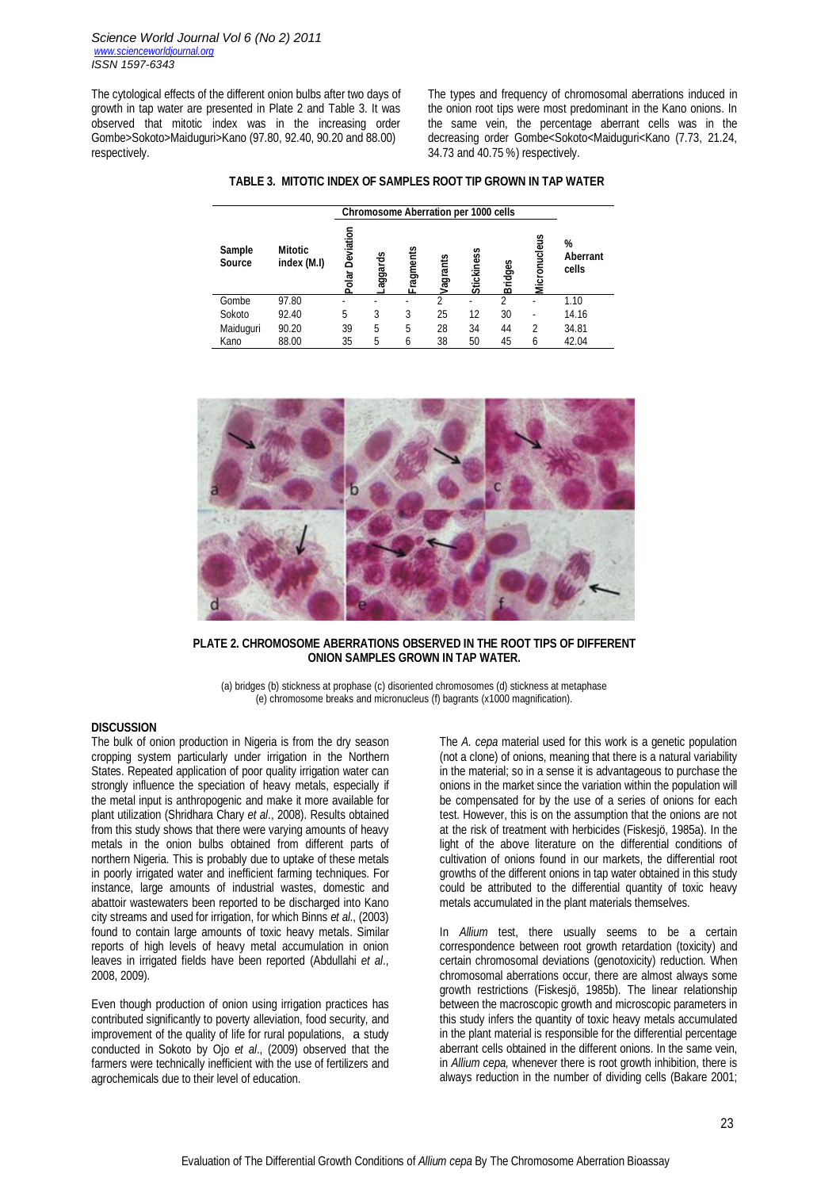The cytological effects of the different onion bulbs after two days of growth in tap water are presented in Plate 2 and Table 3. It was observed that mitotic index was in the increasing order Gombe>Sokoto>Maiduguri>Kano (97.80, 92.40, 90.20 and 88.00) respectively.

The types and frequency of chromosomal aberrations induced in the onion root tips were most predominant in the Kano onions. In the same vein, the percentage aberrant cells was in the decreasing order Gombe<Sokoto<Maiduguri<Kano (7.73, 21.24, 34.73 and 40.75 %) respectively.

|                         |                               | <b>Chromosome Aberration per 1000 cells</b> |         |               |          |            |                |                          |                               |
|-------------------------|-------------------------------|---------------------------------------------|---------|---------------|----------|------------|----------------|--------------------------|-------------------------------|
| Sample<br><b>Source</b> | <b>Mitotic</b><br>index (M.I) | Deviation<br>Polar                          | aggards | ragments<br>ட | Jagrants | Stickiness | <b>Bridges</b> | Micronucleus             | %<br><b>Aberrant</b><br>cells |
| Gombe                   | 97.80                         |                                             |         |               | 2        |            | 2              | ۰                        | 1.10                          |
| Sokoto                  | 92.40                         | 5                                           | 3       | 3             | 25       | 12         | 30             | $\overline{\phantom{0}}$ | 14.16                         |
| Maiduguri               | 90.20                         | 39                                          | 5       | 5             | 28       | 34         | 44             | 2                        | 34.81                         |
| Kano                    | 88.00                         | 35                                          | 5       | 6             | 38       | 50         | 45             | 6                        | 42.04                         |



**PLATE 2. CHROMOSOME ABERRATIONS OBSERVED IN THE ROOT TIPS OF DIFFERENT ONION SAMPLES GROWN IN TAP WATER.**

(a) bridges (b) stickness at prophase (c) disoriented chromosomes (d) stickness at metaphase (e) chromosome breaks and micronucleus (f) bagrants (x1000 magnification).

#### **DISCUSSION**

The bulk of onion production in Nigeria is from the dry season cropping system particularly under irrigation in the Northern States. Repeated application of poor quality irrigation water can strongly influence the speciation of heavy metals, especially if the metal input is anthropogenic and make it more available for plant utilization (Shridhara Chary *et al*., 2008). Results obtained from this study shows that there were varying amounts of heavy metals in the onion bulbs obtained from different parts of northern Nigeria. This is probably due to uptake of these metals in poorly irrigated water and inefficient farming techniques. For instance, large amounts of industrial wastes, domestic and abattoir wastewaters been reported to be discharged into Kano city streams and used for irrigation, for which Binns *et al*., (2003) found to contain large amounts of toxic heavy metals. Similar reports of high levels of heavy metal accumulation in onion leaves in irrigated fields have been reported (Abdullahi *et al*., 2008, 2009).

Even though production of onion using irrigation practices has contributed significantly to poverty alleviation, food security, and improvement of the quality of life for rural populations, a study conducted in Sokoto by Ojo *et al*., (2009) observed that the farmers were technically inefficient with the use of fertilizers and agrochemicals due to their level of education.

The *A. cepa* material used for this work is a genetic population (not a clone) of onions, meaning that there is a natural variability in the material; so in a sense it is advantageous to purchase the onions in the market since the variation within the population will be compensated for by the use of a series of onions for each test. However, this is on the assumption that the onions are not at the risk of treatment with herbicides (Fiskesjö, 1985a). In the light of the above literature on the differential conditions of cultivation of onions found in our markets, the differential root growths of the different onions in tap water obtained in this study could be attributed to the differential quantity of toxic heavy metals accumulated in the plant materials themselves.

In *Allium* test, there usually seems to be a certain correspondence between root growth retardation (toxicity) and certain chromosomal deviations (genotoxicity) reduction. When chromosomal aberrations occur, there are almost always some growth restrictions (Fiskesjö, 1985b). The linear relationship between the macroscopic growth and microscopic parameters in this study infers the quantity of toxic heavy metals accumulated in the plant material is responsible for the differential percentage aberrant cells obtained in the different onions. In the same vein, in *Allium cepa,* whenever there is root growth inhibition, there is always reduction in the number of dividing cells (Bakare 2001;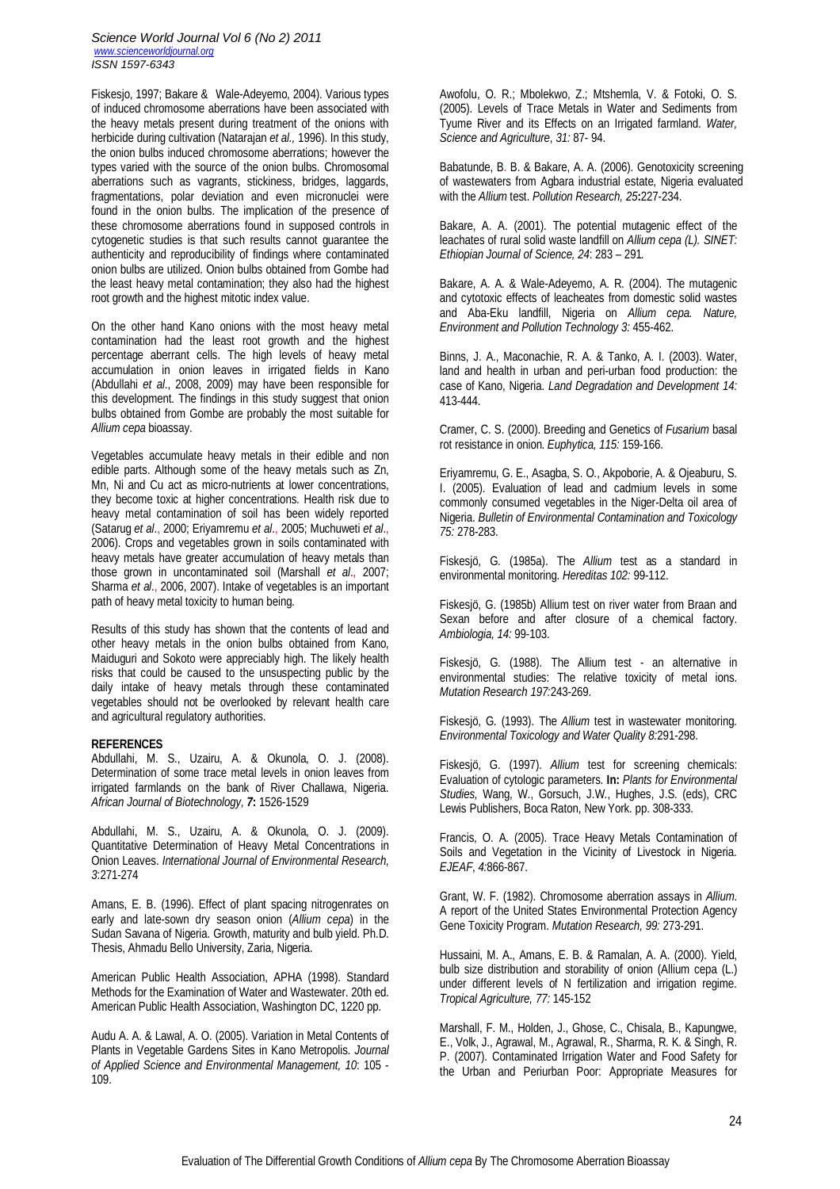#### *Science World Journal Vol 6 (No 2) 2011 www.scienceworldjournal.org ISSN 1597-6343*

Fiskesjo, 1997; Bakare & Wale-Adeyemo, 2004). Various types of induced chromosome aberrations have been associated with the heavy metals present during treatment of the onions with herbicide during cultivation (Natarajan *et al.,* 1996). In this study, the onion bulbs induced chromosome aberrations; however the types varied with the source of the onion bulbs. Chromosomal aberrations such as vagrants, stickiness, bridges, laggards, fragmentations, polar deviation and even micronuclei were found in the onion bulbs. The implication of the presence of these chromosome aberrations found in supposed controls in cytogenetic studies is that such results cannot guarantee the authenticity and reproducibility of findings where contaminated onion bulbs are utilized. Onion bulbs obtained from Gombe had the least heavy metal contamination; they also had the highest root growth and the highest mitotic index value.

On the other hand Kano onions with the most heavy metal contamination had the least root growth and the highest percentage aberrant cells. The high levels of heavy metal accumulation in onion leaves in irrigated fields in Kano (Abdullahi *et al*., 2008, 2009) may have been responsible for this development. The findings in this study suggest that onion bulbs obtained from Gombe are probably the most suitable for *Allium cepa* bioassay.

Vegetables accumulate heavy metals in their edible and non edible parts. Although some of the heavy metals such as Zn, Mn, Ni and Cu act as micro-nutrients at lower concentrations, they become toxic at higher concentrations. Health risk due to heavy metal contamination of soil has been widely reported (Satarug *et al*., 2000; Eriyamremu *et al*., 2005; Muchuweti *et al*., 2006). Crops and vegetables grown in soils contaminated with heavy metals have greater accumulation of heavy metals than those grown in uncontaminated soil (Marshall *et al*., 2007; Sharma *et al*., 2006, 2007). Intake of vegetables is an important path of heavy metal toxicity to human being.

Results of this study has shown that the contents of lead and other heavy metals in the onion bulbs obtained from Kano, Maiduguri and Sokoto were appreciably high. The likely health risks that could be caused to the unsuspecting public by the daily intake of heavy metals through these contaminated vegetables should not be overlooked by relevant health care and agricultural regulatory authorities.

#### **REFERENCES**

Abdullahi, M. S., Uzairu, A. & Okunola, O. J. (2008). Determination of some trace metal levels in onion leaves from irrigated farmlands on the bank of River Challawa, Nigeria. *African Journal of Biotechnology, 7***:** 1526-1529

Abdullahi, M. S., Uzairu, A. & Okunola, O. J. (2009). Quantitative Determination of Heavy Metal Concentrations in Onion Leaves. *International Journal of Environmental Research*, *3*:271-274

Amans, E. B. (1996). Effect of plant spacing nitrogenrates on early and late-sown dry season onion (*Allium cepa*) in the Sudan Savana of Nigeria. Growth, maturity and bulb yield. Ph.D. Thesis, Ahmadu Bello University, Zaria, Nigeria.

American Public Health Association, APHA (1998). Standard Methods for the Examination of Water and Wastewater. 20th ed. American Public Health Association, Washington DC, 1220 pp.

Audu A. A. & Lawal, A. O. (2005). Variation in Metal Contents of Plants in Vegetable Gardens Sites in Kano Metropolis. *Journal of Applied Science and Environmental Management, 10*: 105 - 109.

Awofolu, O. R.; Mbolekwo, Z.; Mtshemla, V. & Fotoki, O. S. (2005). Levels of Trace Metals in Water and Sediments from Tyume River and its Effects on an Irrigated farmland. *Water, Science and Agriculture*, *31:* 87- 94.

Babatunde, B. B. & Bakare, A. A. (2006). Genotoxicity screening of wastewaters from Agbara industrial estate, Nigeria evaluated with the *Allium* test. *Pollution Research, 25***:**227-234.

Bakare, A. A. (2001). The potential mutagenic effect of the leachates of rural solid waste landfill on *Allium cepa (L). SINET: Ethiopian Journal of Science, 24*: 283 – 291*.*

Bakare, A. A. & Wale-Adeyemo, A. R. (2004). The mutagenic and cytotoxic effects of leacheates from domestic solid wastes and Aba-Eku landfill, Nigeria on *Allium cepa. Nature, Environment and Pollution Technology 3:* 455-462.

Binns, J. A., Maconachie, R. A. & Tanko, A. I. (2003). Water, land and health in urban and peri-urban food production: the case of Kano, Nigeria. *Land Degradation and Development 14:* 413-444.

Cramer, C. S. (2000). Breeding and Genetics of *Fusarium* basal rot resistance in onion. *Euphytica, 115:* 159-166.

Eriyamremu, G. E., Asagba, S. O., Akpoborie, A. & Ojeaburu, S. I. (2005). Evaluation of lead and cadmium levels in some commonly consumed vegetables in the Niger-Delta oil area of Nigeria. *Bulletin of Environmental Contamination and Toxicology 75:* 278-283.

Fiskesjö, G. (1985a). The *Allium* test as a standard in environmental monitoring. *Hereditas 102:* 99-112.

Fiskesjö, G. (1985b) Allium test on river water from Braan and Sexan before and after closure of a chemical factory. *Ambiologia, 14:* 99-103.

Fiskesjö, G. (1988). The Allium test - an alternative in environmental studies: The relative toxicity of metal ions. *Mutation Research 197:*243-269.

Fiskesjö, G. (1993). The *Allium* test in wastewater monitoring. *Environmental Toxicology and Water Quality 8:*291-298.

Fiskesjö, G. (1997). *Allium* test for screening chemicals: Evaluation of cytologic parameters. **In:** *Plants for Environmental Studies,* Wang, W., Gorsuch, J.W., Hughes, J.S. (eds), CRC Lewis Publishers, Boca Raton, New York. pp. 308-333.

Francis, O. A. (2005). Trace Heavy Metals Contamination of Soils and Vegetation in the Vicinity of Livestock in Nigeria. *EJEAF*, *4:*866-867.

Grant, W. F. (1982). Chromosome aberration assays in *Allium*. A report of the United States Environmental Protection Agency Gene Toxicity Program. *Mutation Research, 99:* 273-291.

Hussaini, M. A., Amans, E. B. & Ramalan, A. A. (2000). Yield, bulb size distribution and storability of onion (Allium cepa (L.) under different levels of N fertilization and irrigation regime. *Tropical Agriculture, 77:* 145-152

Marshall, F. M., Holden, J., Ghose, C., Chisala, B., Kapungwe, E., Volk, J., Agrawal, M., Agrawal, R., Sharma, R. K. & Singh, R. P. (2007). Contaminated Irrigation Water and Food Safety for the Urban and Periurban Poor: Appropriate Measures for